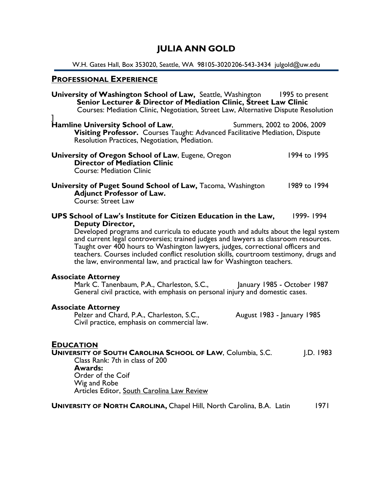# JULIA ANN GOLD

W.H. Gates Hall, Box 353020, Seattle, WA 98105-3020 206-543-3434 julgold@uw.edu

# PROFESSIONAL EXPERIENCE

| <b>University of Washington School of Law, Seattle, Washington</b><br>Senior Lecturer & Director of Mediation Clinic, Street Law Clinic<br>Courses: Mediation Clinic, Negotiation, Street Law, Alternative Dispute Resolution                                                                                                                                                                                                                                                                                                              | 1995 to present |
|--------------------------------------------------------------------------------------------------------------------------------------------------------------------------------------------------------------------------------------------------------------------------------------------------------------------------------------------------------------------------------------------------------------------------------------------------------------------------------------------------------------------------------------------|-----------------|
| Hamline University School of Law,<br>Summers, 2002 to 2006, 2009<br>Visiting Professor. Courses Taught: Advanced Facilitative Mediation, Dispute<br>Resolution Practices, Negotiation, Mediation.                                                                                                                                                                                                                                                                                                                                          |                 |
| University of Oregon School of Law, Eugene, Oregon<br><b>Director of Mediation Clinic</b><br><b>Course: Mediation Clinic</b>                                                                                                                                                                                                                                                                                                                                                                                                               | 1994 to 1995    |
| University of Puget Sound School of Law, Tacoma, Washington<br><b>Adjunct Professor of Law.</b><br>Course: Street Law                                                                                                                                                                                                                                                                                                                                                                                                                      | 1989 to 1994    |
| 1999-1994<br>UPS School of Law's Institute for Citizen Education in the Law,<br><b>Deputy Director,</b><br>Developed programs and curricula to educate youth and adults about the legal system<br>and current legal controversies; trained judges and lawyers as classroom resources.<br>Taught over 400 hours to Washington lawyers, judges, correctional officers and<br>teachers. Courses included conflict resolution skills, courtroom testimony, drugs and<br>the law, environmental law, and practical law for Washington teachers. |                 |
| <b>Associate Attorney</b><br>Mark C. Tanenbaum, P.A., Charleston, S.C.,<br>January 1985 - October 1987<br>General civil practice, with emphasis on personal injury and domestic cases.                                                                                                                                                                                                                                                                                                                                                     |                 |
| <b>Associate Attorney</b><br>Pelzer and Chard, P.A., Charleston, S.C.,<br>August 1983 - January 1985<br>Civil practice, emphasis on commercial law.                                                                                                                                                                                                                                                                                                                                                                                        |                 |
| <b>EDUCATION</b><br><b>UNIVERSITY OF SOUTH CAROLINA SCHOOL OF LAW, Columbia, S.C.</b><br>Class Rank: 7th in class of 200<br><b>Awards:</b><br>Order of the Coif<br>Wig and Robe<br>Articles Editor, South Carolina Law Review                                                                                                                                                                                                                                                                                                              | .D.1983         |
| <b>UNIVERSITY OF NORTH CAROLINA, Chapel Hill, North Carolina, B.A. Latin</b>                                                                                                                                                                                                                                                                                                                                                                                                                                                               | 1971            |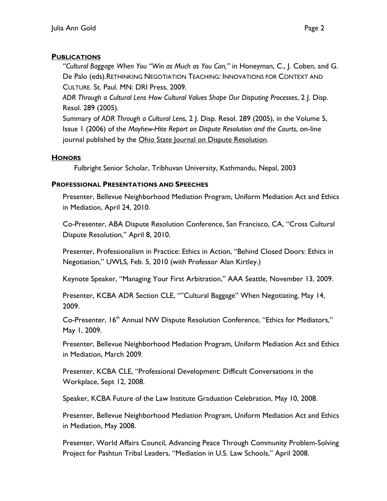### **PUBLICATIONS**

"Cultural Baggage When You "Win as Much as You Can," in Honeyman, C., J. Coben, and G. De Palo (eds).RETHINKING NEGOTIATION TEACHING: INNOVATIONS FOR CONTEXT AND CULTURE. St. Paul. MN: DRI Press, 2009.

ADR Through a Cultural Lens How Cultural Values Shape Our Disputing Processes, 2 J. Disp. Resol. 289 (2005).

Summary of ADR Through a Cultural Lens, 2 J. Disp. Resol. 289 (2005), in the Volume 5, Issue 1 (2006) of the Mayhew-Hite Report on Dispute Resolution and the Courts, on-line journal published by the Ohio State Journal on Dispute Resolution.

### **HONORS**

Fulbright Senior Scholar, Tribhuvan University, Kathmandu, Nepal, 2003

## PROFESSIONAL PRESENTATIONS AND SPEECHES

Presenter, Bellevue Neighborhood Mediation Program, Uniform Mediation Act and Ethics in Mediation, April 24, 2010.

Co-Presenter, ABA Dispute Resolution Conference, San Francisco, CA, "Cross Cultural Dispute Resolution," April 8, 2010.

Presenter, Professionalism in Practice: Ethics in Action, "Behind Closed Doors: Ethics in Negotiation," UWLS, Feb. 5, 2010 (with Professor Alan Kirtley.)

Keynote Speaker, "Managing Your First Arbitration," AAA Seattle, November 13, 2009.

Presenter, KCBA ADR Section CLE, ""Cultural Baggage" When Negotiating, May 14, 2009.

Co-Presenter, 16<sup>th</sup> Annual NW Dispute Resolution Conference, "Ethics for Mediators," May 1, 2009.

Presenter, Bellevue Neighborhood Mediation Program, Uniform Mediation Act and Ethics in Mediation, March 2009.

Presenter, KCBA CLE, "Professional Development: Difficult Conversations in the Workplace, Sept 12, 2008.

Speaker, KCBA Future of the Law Institute Graduation Celebration, May 10, 2008.

Presenter, Bellevue Neighborhood Mediation Program, Uniform Mediation Act and Ethics in Mediation, May 2008.

Presenter, World Affairs Council, Advancing Peace Through Community Problem-Solving Project for Pashtun Tribal Leaders, "Mediation in U.S. Law Schools," April 2008.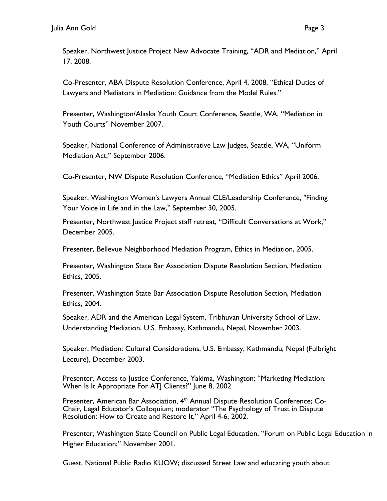17, 2008.

Co-Presenter, ABA Dispute Resolution Conference, April 4, 2008, "Ethical Duties of Lawyers and Mediators in Mediation: Guidance from the Model Rules."

Presenter, Washington/Alaska Youth Court Conference, Seattle, WA, "Mediation in Youth Courts" November 2007.

Speaker, National Conference of Administrative Law Judges, Seattle, WA, "Uniform Mediation Act," September 2006.

Co-Presenter, NW Dispute Resolution Conference, "Mediation Ethics" April 2006.

Speaker, Washington Women's Lawyers Annual CLE/Leadership Conference, "Finding Your Voice in Life and in the Law," September 30, 2005.

Presenter, Northwest Justice Project staff retreat, "Difficult Conversations at Work," December 2005.

Presenter, Bellevue Neighborhood Mediation Program, Ethics in Mediation, 2005.

Presenter, Washington State Bar Association Dispute Resolution Section, Mediation Ethics, 2005.

Presenter, Washington State Bar Association Dispute Resolution Section, Mediation Ethics, 2004.

Speaker, ADR and the American Legal System, Tribhuvan University School of Law, Understanding Mediation, U.S. Embassy, Kathmandu, Nepal, November 2003.

Speaker, Mediation: Cultural Considerations, U.S. Embassy, Kathmandu, Nepal (Fulbright Lecture), December 2003.

Presenter, Access to Justice Conference, Yakima, Washington; "Marketing Mediation: When Is It Appropriate For ATJ Clients?" June 8, 2002.

Presenter, American Bar Association, 4<sup>th</sup> Annual Dispute Resolution Conference; Co-Chair, Legal Educator's Colloquium; moderator "The Psychology of Trust in Dispute Resolution: How to Create and Restore It," April 4-6, 2002.

Presenter, Washington State Council on Public Legal Education, "Forum on Public Legal Education in Higher Education;" November 2001.

Guest, National Public Radio KUOW; discussed Street Law and educating youth about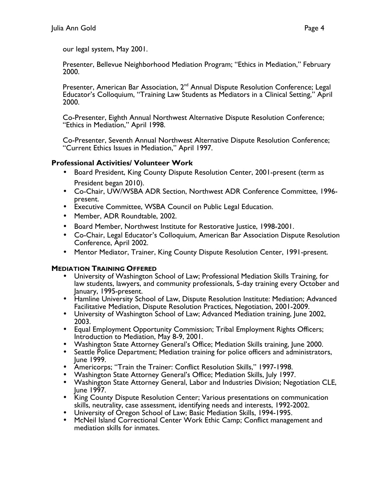our legal system, May 2001.

Presenter, Bellevue Neighborhood Mediation Program; "Ethics in Mediation," February 2000.

Presenter, American Bar Association, 2<sup>nd</sup> Annual Dispute Resolution Conference; Legal Educator's Colloquium, "Training Law Students as Mediators in a Clinical Setting," April 2000.

Co-Presenter, Eighth Annual Northwest Alternative Dispute Resolution Conference; "Ethics in Mediation," April 1998.

Co-Presenter, Seventh Annual Northwest Alternative Dispute Resolution Conference; "Current Ethics Issues in Mediation," April 1997.

### Professional Activities/ Volunteer Work

- Board President, King County Dispute Resolution Center, 2001-present (term as President began 2010).
- Co-Chair, UW/WSBA ADR Section, Northwest ADR Conference Committee, 1996 present.
- Executive Committee, WSBA Council on Public Legal Education.
- Member, ADR Roundtable, 2002.
- Board Member, Northwest Institute for Restorative Justice, 1998-2001.
- Co-Chair, Legal Educator's Colloquium, American Bar Association Dispute Resolution Conference, April 2002.
- Mentor Mediator, Trainer, King County Dispute Resolution Center, 1991-present.

#### MEDIATION TRAINING OFFERED

- University of Washington School of Law; Professional Mediation Skills Training, for law students, lawyers, and community professionals, 5-day training every October and January, 1995-present.
- Hamline University School of Law, Dispute Resolution Institute: Mediation; Advanced Facilitative Mediation, Dispute Resolution Practices, Negotiation, 2001-2009.
- University of Washington School of Law; Advanced Mediation training, June 2002, 2003.
- Equal Employment Opportunity Commission; Tribal Employment Rights Officers; Introduction to Mediation, May 8-9, 2001.
- Washington State Attorney General's Office; Mediation Skills training, June 2000.
- Seattle Police Department; Mediation training for police officers and administrators, June 1999.
- Americorps; "Train the Trainer: Conflict Resolution Skills," 1997-1998.
- Washington State Attorney General's Office; Mediation Skills, July 1997.
- Washington State Attorney General, Labor and Industries Division; Negotiation CLE, June 1997.
- King County Dispute Resolution Center; Various presentations on communication skills, neutrality, case assessment, identifying needs and interests, 1992-2002.
- University of Oregon School of Law; Basic Mediation Skills, 1994-1995.
- McNeil Island Correctional Center Work Ethic Camp; Conflict management and mediation skills for inmates.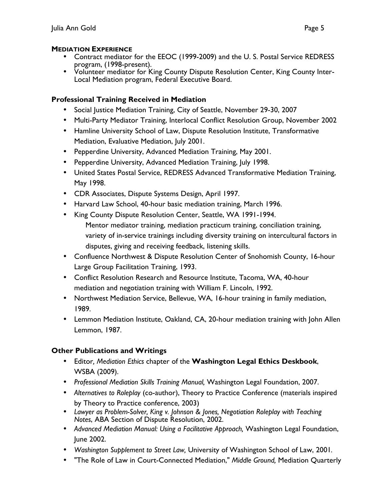### **MEDIATION EXPERIENCE**

- Contract mediator for the EEOC (1999-2009) and the U. S. Postal Service REDRESS program, (1998-present).
- Volunteer mediator for King County Dispute Resolution Center, King County Inter-Local Mediation program, Federal Executive Board.

### Professional Training Received in Mediation

- Social Justice Mediation Training, City of Seattle, November 29-30, 2007
- Multi-Party Mediator Training, Interlocal Conflict Resolution Group, November 2002
- Hamline University School of Law, Dispute Resolution Institute, Transformative Mediation, Evaluative Mediation, July 2001.
- Pepperdine University, Advanced Mediation Training, May 2001.
- Pepperdine University, Advanced Mediation Training, July 1998.
- United States Postal Service, REDRESS Advanced Transformative Mediation Training, May 1998.
- CDR Associates, Dispute Systems Design, April 1997.
- Harvard Law School, 40-hour basic mediation training, March 1996.
- King County Dispute Resolution Center, Seattle, WA 1991-1994. Mentor mediator training, mediation practicum training, conciliation training, variety of in-service trainings including diversity training on intercultural factors in disputes, giving and receiving feedback, listening skills.
- Confluence Northwest & Dispute Resolution Center of Snohomish County, 16-hour Large Group Facilitation Training, 1993.
- Conflict Resolution Research and Resource Institute, Tacoma, WA, 40-hour mediation and negotiation training with William F. Lincoln, 1992.
- Northwest Mediation Service, Bellevue, WA, 16-hour training in family mediation, 1989.
- Lemmon Mediation Institute, Oakland, CA, 20-hour mediation training with John Allen Lemmon, 1987.

## Other Publications and Writings

- Editor, Mediation Ethics chapter of the Washington Legal Ethics Deskbook, WSBA (2009).
- Professional Mediation Skills Training Manual, Washington Legal Foundation, 2007.
- Alternatives to Roleplay (co-author), Theory to Practice Conference (materials inspired by Theory to Practice conference, 2003)
- Lawyer as Problem-Solver, King v. Johnson & Jones, Negotiation Roleplay with Teaching Notes, ABA Section of Dispute Resolution, 2002.
- Advanced Mediation Manual: Using a Facilitative Approach, Washington Legal Foundation, June 2002.
- Washington Supplement to Street Law, University of Washington School of Law, 2001.
- "The Role of Law in Court-Connected Mediation," Middle Ground, Mediation Quarterly